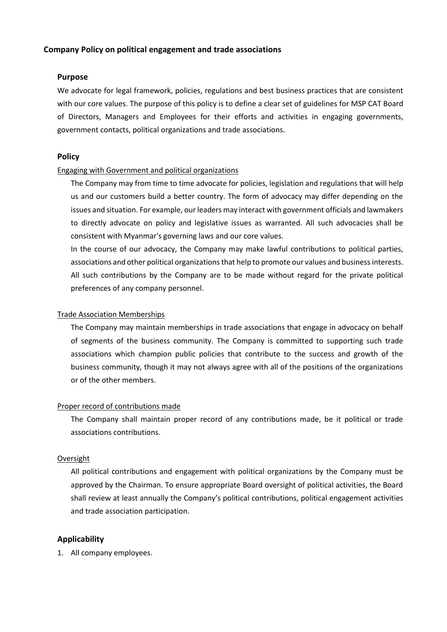### **Company Policy on political engagement and trade associations**

#### **Purpose**

We advocate for legal framework, policies, regulations and best business practices that are consistent with our core values. The purpose of this policy is to define a clear set of guidelines for MSP CAT Board of Directors, Managers and Employees for their efforts and activities in engaging governments, government contacts, political organizations and trade associations.

## **Policy**

#### Engaging with Government and political organizations

The Company may from time to time advocate for policies, legislation and regulations that will help us and our customers build a better country. The form of advocacy may differ depending on the issues and situation. For example, our leaders may interact with government officials and lawmakers to directly advocate on policy and legislative issues as warranted. All such advocacies shall be consistent with Myanmar's governing laws and our core values.

In the course of our advocacy, the Company may make lawful contributions to political parties, associations and other political organizations that help to promote our values and business interests. All such contributions by the Company are to be made without regard for the private political preferences of any company personnel.

#### Trade Association Memberships

The Company may maintain memberships in trade associations that engage in advocacy on behalf of segments of the business community. The Company is committed to supporting such trade associations which champion public policies that contribute to the success and growth of the business community, though it may not always agree with all of the positions of the organizations or of the other members.

#### Proper record of contributions made

The Company shall maintain proper record of any contributions made, be it political or trade associations contributions.

#### Oversight

All political contributions and engagement with political organizations by the Company must be approved by the Chairman. To ensure appropriate Board oversight of political activities, the Board shall review at least annually the Company's political contributions, political engagement activities and trade association participation.

# **Applicability**

1. All company employees.